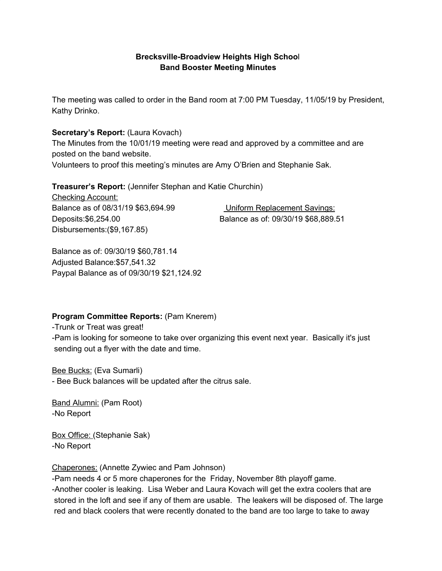#### **Brecksville-Broadview Heights High Schoo**l **Band Booster Meeting Minutes**

The meeting was called to order in the Band room at 7:00 PM Tuesday, 11/05/19 by President, Kathy Drinko.

#### **Secretary's Report:** (Laura Kovach)

The Minutes from the 10/01/19 meeting were read and approved by a committee and are posted on the band website.

Volunteers to proof this meeting's minutes are Amy O'Brien and Stephanie Sak.

**Treasurer's Report:** (Jennifer Stephan and Katie Churchin)

Checking Account: Balance as of 08/31/19 \$63,694.99 Uniform Replacement Savings: Disbursements:(\$9,167.85)

Deposits:\$6,254.00 Balance as of: 09/30/19 \$68,889.51

Balance as of: 09/30/19 \$60,781.14 Adjusted Balance:\$57,541.32 Paypal Balance as of 09/30/19 \$21,124.92

#### **Program Committee Reports:** (Pam Knerem)

-Trunk or Treat was great! -Pam is looking for someone to take over organizing this event next year. Basically it's just sending out a flyer with the date and time.

Bee Bucks: (Eva Sumarli) - Bee Buck balances will be updated after the citrus sale.

Band Alumni: (Pam Root) -No Report

Box Office: (Stephanie Sak) -No Report

#### Chaperones: (Annette Zywiec and Pam Johnson)

-Pam needs 4 or 5 more chaperones for the Friday, November 8th playoff game. -Another cooler is leaking. Lisa Weber and Laura Kovach will get the extra coolers that are stored in the loft and see if any of them are usable. The leakers will be disposed of. The large red and black coolers that were recently donated to the band are too large to take to away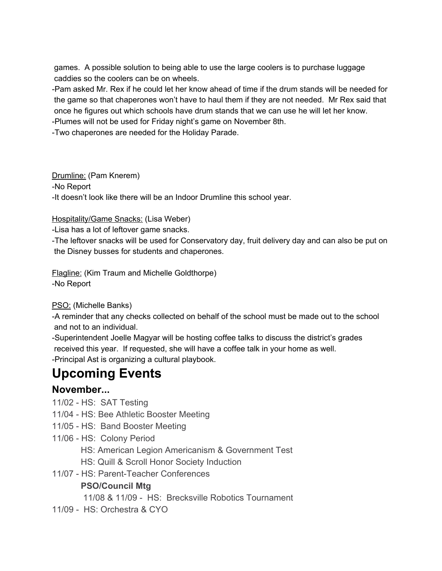games. A possible solution to being able to use the large coolers is to purchase luggage caddies so the coolers can be on wheels.

-Pam asked Mr. Rex if he could let her know ahead of time if the drum stands will be needed for the game so that chaperones won't have to haul them if they are not needed. Mr Rex said that once he figures out which schools have drum stands that we can use he will let her know.

-Plumes will not be used for Friday night's game on November 8th.

-Two chaperones are needed for the Holiday Parade.

Drumline: (Pam Knerem) -No Report -It doesn't look like there will be an Indoor Drumline this school year.

## Hospitality/Game Snacks: (Lisa Weber)

-Lisa has a lot of leftover game snacks.

-The leftover snacks will be used for Conservatory day, fruit delivery day and can also be put on the Disney busses for students and chaperones.

Flagline: (Kim Traum and Michelle Goldthorpe) -No Report

#### PSO: (Michelle Banks)

-A reminder that any checks collected on behalf of the school must be made out to the school and not to an individual.

-Superintendent Joelle Magyar will be hosting coffee talks to discuss the district's grades received this year. If requested, she will have a coffee talk in your home as well. -Principal Ast is organizing a cultural playbook.

# **Upcoming Events**

# **November...**

- 11/02 HS: SAT Testing
- 11/04 HS: Bee Athletic Booster Meeting
- 11/05 HS: Band Booster Meeting
- 11/06 HS: Colony Period
	- HS: American Legion Americanism & Government Test
	- HS: Quill & Scroll Honor Society Induction
- 11/07 HS: Parent-Teacher Conferences

# **PSO/Council Mtg**

11/08 & 11/09 - HS: Brecksville Robotics Tournament

11/09 - HS: Orchestra & CYO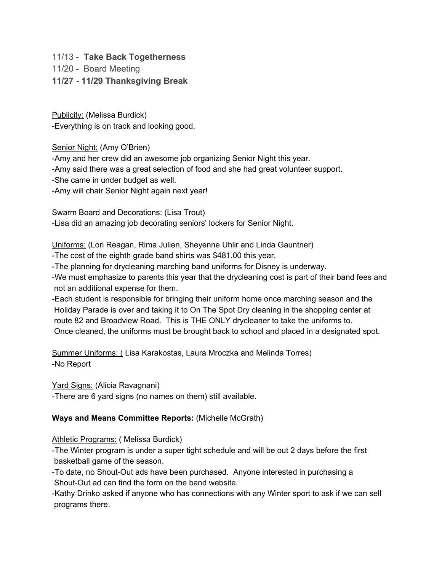11/13 - **Take Back Togetherness**

11/20 - Board Meeting

**11/27 - 11/29 Thanksgiving Break**

Publicity: (Melissa Burdick) -Everything is on track and looking good.

Senior Night: (Amy O'Brien)

-Amy and her crew did an awesome job organizing Senior Night this year.

-Amy said there was a great selection of food and she had great volunteer support.

-She came in under budget as well.

-Amy will chair Senior Night again next year!

Swarm Board and Decorations: (Lisa Trout)

-Lisa did an amazing job decorating seniors' lockers for Senior Night.

Uniforms: (Lori Reagan, Rima Julien, Sheyenne Uhlir and Linda Gauntner)

-The cost of the eighth grade band shirts was \$481.00 this year.

-The planning for drycleaning marching band uniforms for Disney is underway.

-We must emphasize to parents this year that the drycleaning cost is part of their band fees and not an additional expense for them.

-Each student is responsible for bringing their uniform home once marching season and the Holiday Parade is over and taking it to On The Spot Dry cleaning in the shopping center at route 82 and Broadview Road. This is THE ONLY drycleaner to take the uniforms to. Once cleaned, the uniforms must be brought back to school and placed in a designated spot.

Summer Uniforms: ( Lisa Karakostas, Laura Mroczka and Melinda Torres) -No Report

Yard Signs: (Alicia Ravagnani)

-There are 6 yard signs (no names on them) still available.

# **Ways and Means Committee Reports:** (Michelle McGrath)

Athletic Programs: ( Melissa Burdick)

-The Winter program is under a super tight schedule and will be out 2 days before the first basketball game of the season.

-To date, no Shout-Out ads have been purchased. Anyone interested in purchasing a Shout-Out ad can find the form on the band website.

-Kathy Drinko asked if anyone who has connections with any Winter sport to ask if we can sell programs there.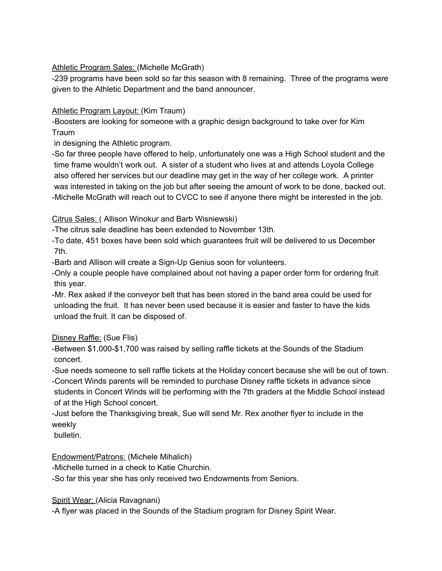#### Athletic Program Sales: (Michelle McGrath)

-239 programs have been sold so far this season with 8 remaining. Three of the programs were given to the Athletic Department and the band announcer.

#### Athletic Program Layout: (Kim Traum)

-Boosters are looking for someone with a graphic design background to take over for Kim **Traum** 

in designing the Athletic program.

-So far three people have offered to help, unfortunately one was a High School student and the time frame wouldn't work out. A sister of a student who lives at and attends Loyola College also offered her services but our deadline may get in the way of her college work. A printer was interested in taking on the job but after seeing the amount of work to be done, backed out. -Michelle McGrath will reach out to CVCC to see if anyone there might be interested in the job.

## Citrus Sales: ( Allison Winokur and Barb Wisniewski)

-The citrus sale deadline has been extended to November 13th.

-To date, 451 boxes have been sold which guarantees fruit will be delivered to us December 7th.

-Barb and Allison will create a Sign-Up Genius soon for volunteers.

-Only a couple people have complained about not having a paper order form for ordering fruit this year.

-Mr. Rex asked if the conveyor belt that has been stored in the band area could be used for unloading the fruit. It has never been used because it is easier and faster to have the kids unload the fruit. It can be disposed of.

# Disney Raffle: (Sue Flis)

-Between \$1,000-\$1,700 was raised by selling raffle tickets at the Sounds of the Stadium concert.

-Sue needs someone to sell raffle tickets at the Holiday concert because she will be out of town. -Concert Winds parents will be reminded to purchase Disney raffle tickets in advance since students in Concert Winds will be performing with the 7th graders at the Middle School instead of at the High School concert.

-Just before the Thanksgiving break, Sue will send Mr. Rex another flyer to include in the weekly

bulletin.

# Endowment/Patrons: (Michele Mihalich)

-Michelle turned in a check to Katie Churchin.

-So far this year she has only received two Endowments from Seniors.

#### Spirit Wear: (Alicia Ravagnani)

-A flyer was placed in the Sounds of the Stadium program for Disney Spirit Wear.